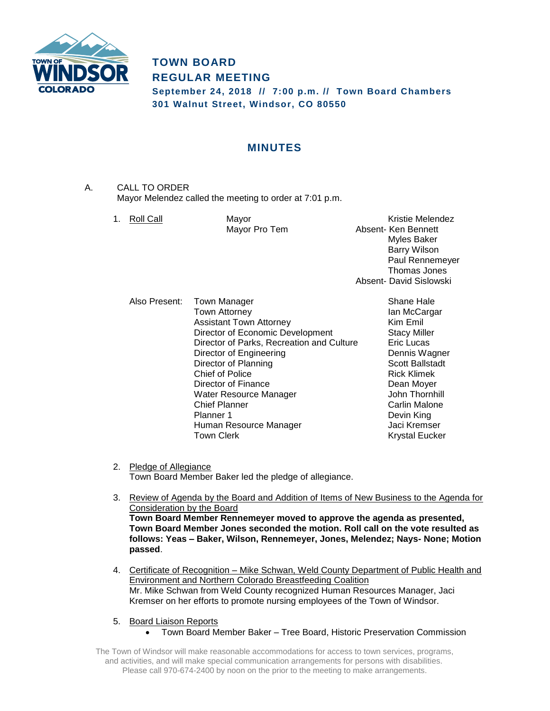

# **TOWN BOARD REGULAR MEETING September 24, 2018 // 7:00 p.m. // Town Board Chambers 301 Walnut Street, Windsor, CO 80550**

# **MINUTES**

- A. CALL TO ORDER Mayor Melendez called the meeting to order at 7:01 p.m.
	-

1. Roll Call **Mayor** Mayor **Network** Kristie Melendez Mayor Pro Tem **Absent- Ken Bennett** Myles Baker Barry Wilson Paul Rennemeyer Thomas Jones Absent- David Sislowski

Also Present: Town Manager Shane Hale Town Attorney **Internal Contract Contract Attorney** Ian McCargar Assistant Town Attorney **Kim Emil** Director of Economic Development Stacy Miller Director of Parks, Recreation and Culture **Eric Lucas** Director of Engineering **Dennis Wagner** Dennis Wagner Director of Planning Scott Ballstadt Chief of Police **Rick Klimek** Director of Finance **Director** Dean Moyer Water Resource Manager **Value 3** John Thornhill **Chief Planner** Chief Planner Carlin Malone Planner 1 Devin King Human Resource Manager **Jaci Kremser** Town Clerk **Krystal Eucker** Krystal Eucker

- 2. Pledge of Allegiance Town Board Member Baker led the pledge of allegiance.
- 3. Review of Agenda by the Board and Addition of Items of New Business to the Agenda for Consideration by the Board **Town Board Member Rennemeyer moved to approve the agenda as presented, Town Board Member Jones seconded the motion. Roll call on the vote resulted as follows: Yeas – Baker, Wilson, Rennemeyer, Jones, Melendez; Nays- None; Motion passed**.
- 4. Certificate of Recognition Mike Schwan, Weld County Department of Public Health and Environment and Northern Colorado Breastfeeding Coalition Mr. Mike Schwan from Weld County recognized Human Resources Manager, Jaci Kremser on her efforts to promote nursing employees of the Town of Windsor.
- 5. Board Liaison Reports
	- Town Board Member Baker Tree Board, Historic Preservation Commission

The Town of Windsor will make reasonable accommodations for access to town services, programs, and activities, and will make special communication arrangements for persons with disabilities. Please call 970-674-2400 by noon on the prior to the meeting to make arrangements.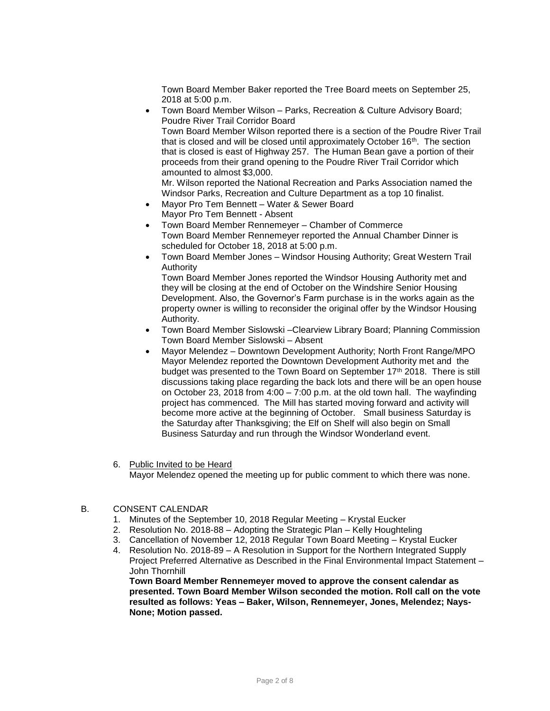Town Board Member Baker reported the Tree Board meets on September 25, 2018 at 5:00 p.m.

 Town Board Member Wilson – Parks, Recreation & Culture Advisory Board; Poudre River Trail Corridor Board Town Board Member Wilson reported there is a section of the Poudre River Trail that is closed and will be closed until approximately October 16<sup>th</sup>. The section that is closed is east of Highway 257. The Human Bean gave a portion of their proceeds from their grand opening to the Poudre River Trail Corridor which amounted to almost \$3,000.

Mr. Wilson reported the National Recreation and Parks Association named the Windsor Parks, Recreation and Culture Department as a top 10 finalist.

- Mayor Pro Tem Bennett Water & Sewer Board Mayor Pro Tem Bennett - Absent
- Town Board Member Rennemeyer Chamber of Commerce Town Board Member Rennemeyer reported the Annual Chamber Dinner is scheduled for October 18, 2018 at 5:00 p.m.
- Town Board Member Jones Windsor Housing Authority; Great Western Trail Authority

Town Board Member Jones reported the Windsor Housing Authority met and they will be closing at the end of October on the Windshire Senior Housing Development. Also, the Governor's Farm purchase is in the works again as the property owner is willing to reconsider the original offer by the Windsor Housing Authority.

- Town Board Member Sislowski –Clearview Library Board; Planning Commission Town Board Member Sislowski – Absent
- Mayor Melendez Downtown Development Authority; North Front Range/MPO Mayor Melendez reported the Downtown Development Authority met and the budget was presented to the Town Board on September 17<sup>th</sup> 2018. There is still discussions taking place regarding the back lots and there will be an open house on October 23, 2018 from 4:00 – 7:00 p.m. at the old town hall. The wayfinding project has commenced. The Mill has started moving forward and activity will become more active at the beginning of October. Small business Saturday is the Saturday after Thanksgiving; the Elf on Shelf will also begin on Small Business Saturday and run through the Windsor Wonderland event.
- 6. Public Invited to be Heard Mayor Melendez opened the meeting up for public comment to which there was none.

## B. CONSENT CALENDAR

- 1. Minutes of the September 10, 2018 Regular Meeting Krystal Eucker
- 2. Resolution No. 2018-88 Adopting the Strategic Plan Kelly Houghteling
- 3. Cancellation of November 12, 2018 Regular Town Board Meeting Krystal Eucker
- 4. Resolution No. 2018-89 A Resolution in Support for the Northern Integrated Supply Project Preferred Alternative as Described in the Final Environmental Impact Statement – John Thornhill

**Town Board Member Rennemeyer moved to approve the consent calendar as presented. Town Board Member Wilson seconded the motion. Roll call on the vote resulted as follows: Yeas – Baker, Wilson, Rennemeyer, Jones, Melendez; Nays-None; Motion passed.**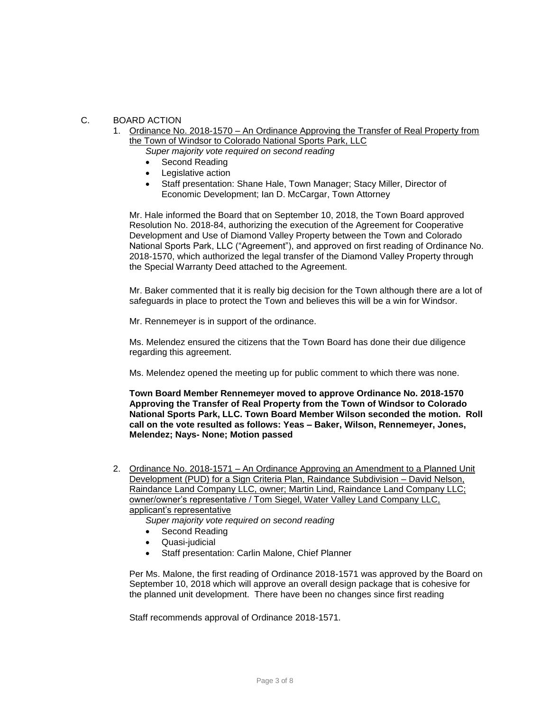## C. BOARD ACTION

1. Ordinance No. 2018-1570 – An Ordinance Approving the Transfer of Real Property from the Town of Windsor to Colorado National Sports Park, LLC *Super majority vote required on second reading* 

- Second Reading
- Legislative action
- Staff presentation: Shane Hale, Town Manager; Stacy Miller, Director of Economic Development; Ian D. McCargar, Town Attorney

Mr. Hale informed the Board that on September 10, 2018, the Town Board approved Resolution No. 2018-84, authorizing the execution of the Agreement for Cooperative Development and Use of Diamond Valley Property between the Town and Colorado National Sports Park, LLC ("Agreement"), and approved on first reading of Ordinance No. 2018-1570, which authorized the legal transfer of the Diamond Valley Property through the Special Warranty Deed attached to the Agreement.

Mr. Baker commented that it is really big decision for the Town although there are a lot of safeguards in place to protect the Town and believes this will be a win for Windsor.

Mr. Rennemeyer is in support of the ordinance.

Ms. Melendez ensured the citizens that the Town Board has done their due diligence regarding this agreement.

Ms. Melendez opened the meeting up for public comment to which there was none.

**Town Board Member Rennemeyer moved to approve Ordinance No. 2018-1570 Approving the Transfer of Real Property from the Town of Windsor to Colorado National Sports Park, LLC. Town Board Member Wilson seconded the motion. Roll call on the vote resulted as follows: Yeas – Baker, Wilson, Rennemeyer, Jones, Melendez; Nays- None; Motion passed**

2. Ordinance No. 2018-1571 – An Ordinance Approving an Amendment to a Planned Unit Development (PUD) for a Sign Criteria Plan, Raindance Subdivision – David Nelson, Raindance Land Company LLC, owner; Martin Lind, Raindance Land Company LLC; owner/owner's representative / Tom Siegel, Water Valley Land Company LLC, applicant's representative

*Super majority vote required on second reading* 

- Second Reading
- Quasi-judicial
- Staff presentation: Carlin Malone, Chief Planner

Per Ms. Malone, the first reading of Ordinance 2018-1571 was approved by the Board on September 10, 2018 which will approve an overall design package that is cohesive for the planned unit development. There have been no changes since first reading

Staff recommends approval of Ordinance 2018-1571.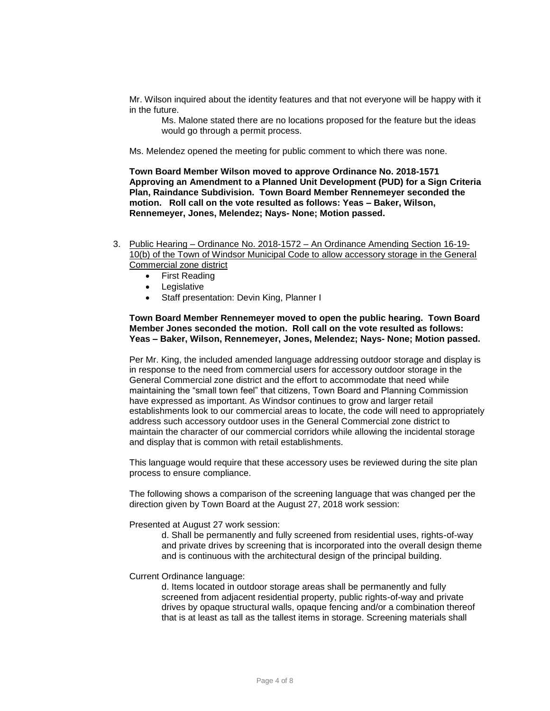Mr. Wilson inquired about the identity features and that not everyone will be happy with it in the future.

Ms. Malone stated there are no locations proposed for the feature but the ideas would go through a permit process.

Ms. Melendez opened the meeting for public comment to which there was none.

**Town Board Member Wilson moved to approve Ordinance No. 2018-1571 Approving an Amendment to a Planned Unit Development (PUD) for a Sign Criteria Plan, Raindance Subdivision. Town Board Member Rennemeyer seconded the motion. Roll call on the vote resulted as follows: Yeas – Baker, Wilson, Rennemeyer, Jones, Melendez; Nays- None; Motion passed.**

- 3. Public Hearing Ordinance No. 2018-1572 An Ordinance Amending Section 16-19- 10(b) of the Town of Windsor Municipal Code to allow accessory storage in the General Commercial zone district
	- First Reading
	- Legislative
	- Staff presentation: Devin King, Planner I

## **Town Board Member Rennemeyer moved to open the public hearing. Town Board Member Jones seconded the motion. Roll call on the vote resulted as follows: Yeas – Baker, Wilson, Rennemeyer, Jones, Melendez; Nays- None; Motion passed.**

Per Mr. King, the included amended language addressing outdoor storage and display is in response to the need from commercial users for accessory outdoor storage in the General Commercial zone district and the effort to accommodate that need while maintaining the "small town feel" that citizens, Town Board and Planning Commission have expressed as important. As Windsor continues to grow and larger retail establishments look to our commercial areas to locate, the code will need to appropriately address such accessory outdoor uses in the General Commercial zone district to maintain the character of our commercial corridors while allowing the incidental storage and display that is common with retail establishments.

This language would require that these accessory uses be reviewed during the site plan process to ensure compliance.

The following shows a comparison of the screening language that was changed per the direction given by Town Board at the August 27, 2018 work session:

#### Presented at August 27 work session:

d. Shall be permanently and fully screened from residential uses, rights-of-way and private drives by screening that is incorporated into the overall design theme and is continuous with the architectural design of the principal building.

### Current Ordinance language:

d. Items located in outdoor storage areas shall be permanently and fully screened from adjacent residential property, public rights-of-way and private drives by opaque structural walls, opaque fencing and/or a combination thereof that is at least as tall as the tallest items in storage. Screening materials shall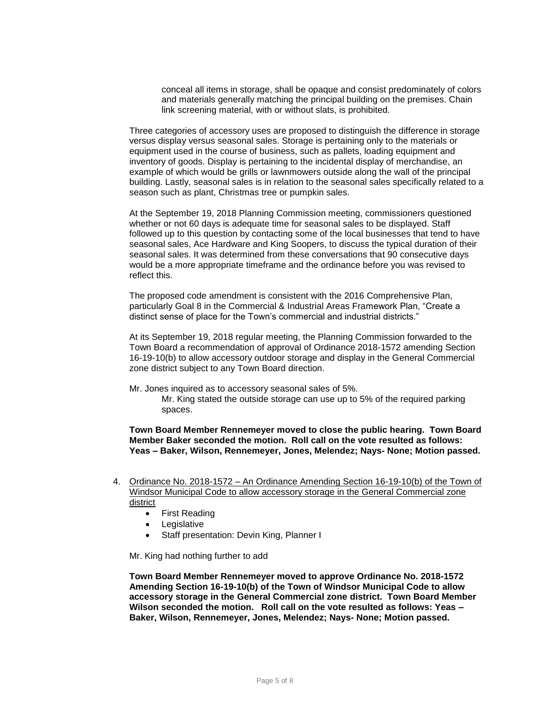conceal all items in storage, shall be opaque and consist predominately of colors and materials generally matching the principal building on the premises. Chain link screening material, with or without slats, is prohibited.

Three categories of accessory uses are proposed to distinguish the difference in storage versus display versus seasonal sales. Storage is pertaining only to the materials or equipment used in the course of business, such as pallets, loading equipment and inventory of goods. Display is pertaining to the incidental display of merchandise, an example of which would be grills or lawnmowers outside along the wall of the principal building. Lastly, seasonal sales is in relation to the seasonal sales specifically related to a season such as plant, Christmas tree or pumpkin sales.

At the September 19, 2018 Planning Commission meeting, commissioners questioned whether or not 60 days is adequate time for seasonal sales to be displayed. Staff followed up to this question by contacting some of the local businesses that tend to have seasonal sales, Ace Hardware and King Soopers, to discuss the typical duration of their seasonal sales. It was determined from these conversations that 90 consecutive days would be a more appropriate timeframe and the ordinance before you was revised to reflect this.

The proposed code amendment is consistent with the 2016 Comprehensive Plan, particularly Goal 8 in the Commercial & Industrial Areas Framework Plan, "Create a distinct sense of place for the Town's commercial and industrial districts."

At its September 19, 2018 regular meeting, the Planning Commission forwarded to the Town Board a recommendation of approval of Ordinance 2018-1572 amending Section 16-19-10(b) to allow accessory outdoor storage and display in the General Commercial zone district subject to any Town Board direction.

Mr. Jones inquired as to accessory seasonal sales of 5%.

Mr. King stated the outside storage can use up to 5% of the required parking spaces.

**Town Board Member Rennemeyer moved to close the public hearing. Town Board Member Baker seconded the motion. Roll call on the vote resulted as follows: Yeas – Baker, Wilson, Rennemeyer, Jones, Melendez; Nays- None; Motion passed.**

- 4. Ordinance No. 2018-1572 An Ordinance Amending Section 16-19-10(b) of the Town of Windsor Municipal Code to allow accessory storage in the General Commercial zone district
	- First Reading
	- Legislative
	- Staff presentation: Devin King, Planner I

Mr. King had nothing further to add

**Town Board Member Rennemeyer moved to approve Ordinance No. 2018-1572 Amending Section 16-19-10(b) of the Town of Windsor Municipal Code to allow accessory storage in the General Commercial zone district. Town Board Member Wilson seconded the motion. Roll call on the vote resulted as follows: Yeas – Baker, Wilson, Rennemeyer, Jones, Melendez; Nays- None; Motion passed.**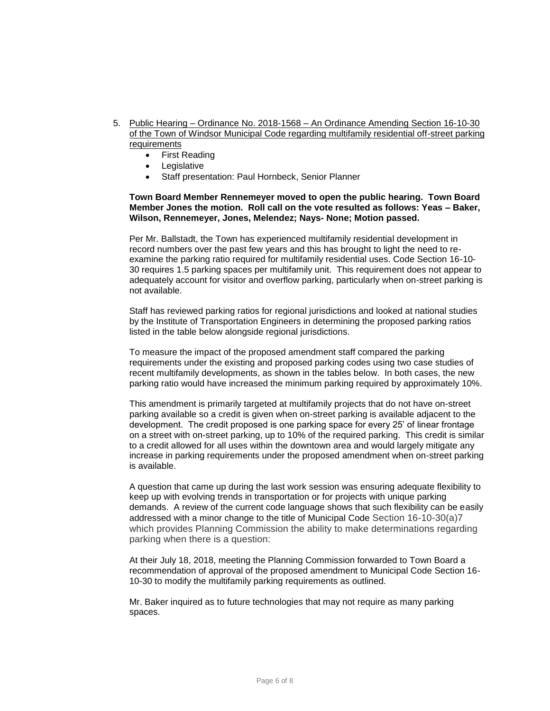- 5. Public Hearing Ordinance No. 2018-1568 An Ordinance Amending Section 16-10-30 of the Town of Windsor Municipal Code regarding multifamily residential off-street parking requirements
	- First Reading
	- **Legislative**
	- Staff presentation: Paul Hornbeck, Senior Planner

## **Town Board Member Rennemeyer moved to open the public hearing. Town Board Member Jones the motion. Roll call on the vote resulted as follows: Yeas – Baker, Wilson, Rennemeyer, Jones, Melendez; Nays- None; Motion passed.**

Per Mr. Ballstadt, the Town has experienced multifamily residential development in record numbers over the past few years and this has brought to light the need to reexamine the parking ratio required for multifamily residential uses. Code Section 16-10- 30 requires 1.5 parking spaces per multifamily unit. This requirement does not appear to adequately account for visitor and overflow parking, particularly when on-street parking is not available.

Staff has reviewed parking ratios for regional jurisdictions and looked at national studies by the Institute of Transportation Engineers in determining the proposed parking ratios listed in the table below alongside regional jurisdictions.

To measure the impact of the proposed amendment staff compared the parking requirements under the existing and proposed parking codes using two case studies of recent multifamily developments, as shown in the tables below. In both cases, the new parking ratio would have increased the minimum parking required by approximately 10%.

This amendment is primarily targeted at multifamily projects that do not have on-street parking available so a credit is given when on-street parking is available adjacent to the development. The credit proposed is one parking space for every 25' of linear frontage on a street with on-street parking, up to 10% of the required parking. This credit is similar to a credit allowed for all uses within the downtown area and would largely mitigate any increase in parking requirements under the proposed amendment when on-street parking is available.

A question that came up during the last work session was ensuring adequate flexibility to keep up with evolving trends in transportation or for projects with unique parking demands. A review of the current code language shows that such flexibility can be easily addressed with a minor change to the title of Municipal Code Section 16-10-30(a)7 which provides Planning Commission the ability to make determinations regarding parking when there is a question:

At their July 18, 2018, meeting the Planning Commission forwarded to Town Board a recommendation of approval of the proposed amendment to Municipal Code Section 16- 10-30 to modify the multifamily parking requirements as outlined.

Mr. Baker inquired as to future technologies that may not require as many parking spaces.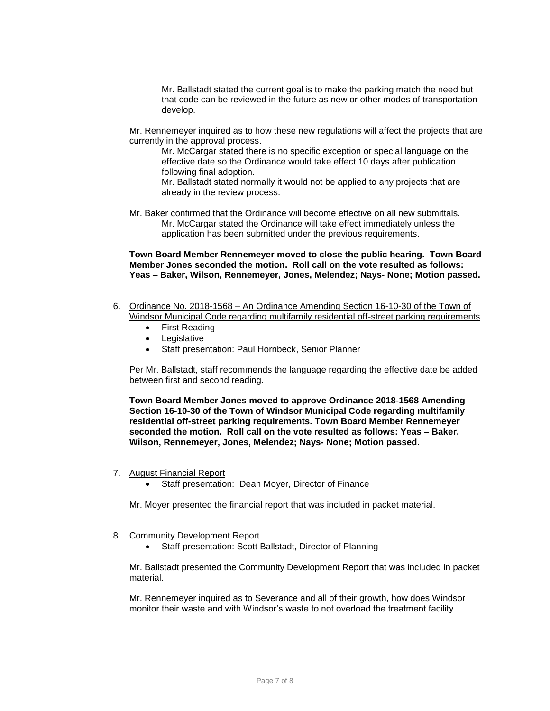Mr. Ballstadt stated the current goal is to make the parking match the need but that code can be reviewed in the future as new or other modes of transportation develop.

Mr. Rennemeyer inquired as to how these new regulations will affect the projects that are currently in the approval process.

Mr. McCargar stated there is no specific exception or special language on the effective date so the Ordinance would take effect 10 days after publication following final adoption.

Mr. Ballstadt stated normally it would not be applied to any projects that are already in the review process.

Mr. Baker confirmed that the Ordinance will become effective on all new submittals. Mr. McCargar stated the Ordinance will take effect immediately unless the application has been submitted under the previous requirements.

**Town Board Member Rennemeyer moved to close the public hearing. Town Board Member Jones seconded the motion. Roll call on the vote resulted as follows: Yeas – Baker, Wilson, Rennemeyer, Jones, Melendez; Nays- None; Motion passed.**

- 6. Ordinance No. 2018-1568 An Ordinance Amending Section 16-10-30 of the Town of Windsor Municipal Code regarding multifamily residential off-street parking requirements
	- First Reading
	- Legislative
	- Staff presentation: Paul Hornbeck, Senior Planner

Per Mr. Ballstadt, staff recommends the language regarding the effective date be added between first and second reading.

**Town Board Member Jones moved to approve Ordinance 2018-1568 Amending Section 16-10-30 of the Town of Windsor Municipal Code regarding multifamily residential off-street parking requirements. Town Board Member Rennemeyer seconded the motion. Roll call on the vote resulted as follows: Yeas – Baker, Wilson, Rennemeyer, Jones, Melendez; Nays- None; Motion passed.**

- 7. August Financial Report
	- Staff presentation: Dean Moyer, Director of Finance

Mr. Moyer presented the financial report that was included in packet material.

- 8. Community Development Report
	- Staff presentation: Scott Ballstadt, Director of Planning

Mr. Ballstadt presented the Community Development Report that was included in packet material.

Mr. Rennemeyer inquired as to Severance and all of their growth, how does Windsor monitor their waste and with Windsor's waste to not overload the treatment facility.